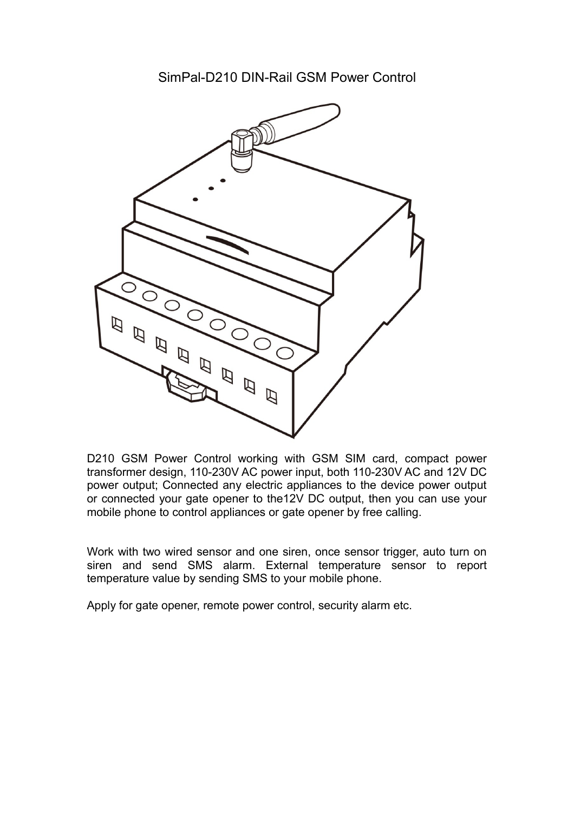SimPal-D210 DIN-Rail GSM Power Control



D210 GSM Power Control working with GSM SIM card, compact power transformer design, 110-230V AC power input, both 110-230V AC and 12V DC power output; Connected any electric appliances to the device power output or connected your gate opener to the12V DC output, then you can use your mobile phone to control appliances or gate opener by free calling.

Work with two wired sensor and one siren, once sensor trigger, auto turn on siren and send SMS alarm. External temperature sensor to report temperature value by sending SMS to your mobile phone.

Apply for gate opener, remote power control, security alarm etc.